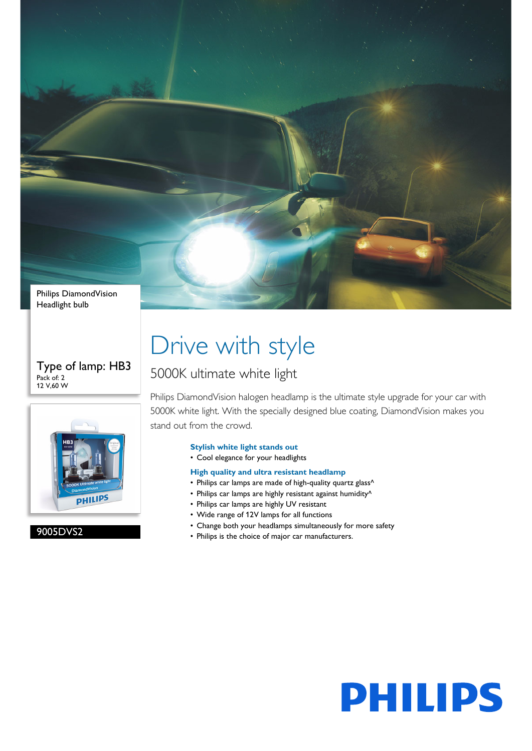

Type of lamp: HB3 Pack of: 2 12 V,60 W



9005DVS2

# Drive with style

### 5000K ultimate white light

Philips DiamondVision halogen headlamp is the ultimate style upgrade for your car with 5000K white light. With the specially designed blue coating, DiamondVision makes you stand out from the crowd.

### **Stylish white light stands out**

• Cool elegance for your headlights

### **High quality and ultra resistant headlamp**

- Philips car lamps are made of high-quality quartz glass^
- Philips car lamps are highly resistant against humidity^
- Philips car lamps are highly UV resistant
- Wide range of 12V lamps for all functions
- Change both your headlamps simultaneously for more safety
- Philips is the choice of major car manufacturers.